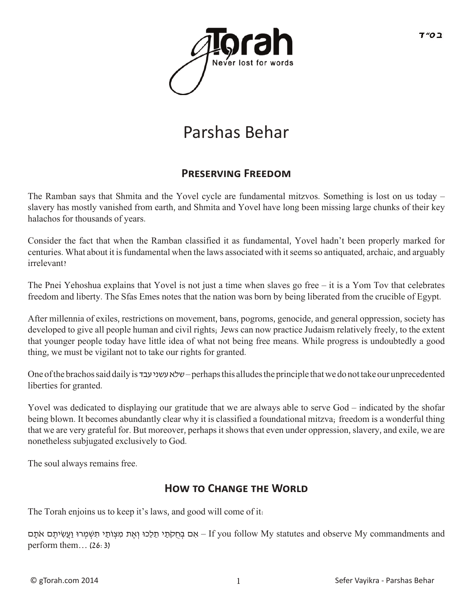

## Parshas Behar

## **PRESERVING FREEDOM**

The Ramban says that Shmita and the Yovel cycle are fundamental mitzvos. Something is lost on us today – slavery has mostly vanished from earth, and Shmita and Yovel have long been missing large chunks of their key halachos for thousands of years.

Consider the fact that when the Ramban classified it as fundamental, Yovel hadn't been properly marked for centuries. What about it is fundamental when the laws associated with it seems so antiquated, archaic, and arguably irrelevant?

The Pnei Yehoshua explains that Yovel is not just a time when slaves go free – it is a Yom Tov that celebrates freedom and liberty. The Sfas Emes notes that the nation was born by being liberated from the crucible of Egypt.

After millennia of exiles, restrictions on movement, bans, pogroms, genocide, and general oppression, society has developed to give all people human and civil rights; Jews can now practice Judaism relatively freely, to the extent that younger people today have little idea of what not being free means. While progress is undoubtedly a good thing, we must be vigilant not to take our rights for granted.

One of the brachos said daily is עבד עשני שלא – perhaps this alludes the principle that we do not take our unprecedented liberties for granted.

Yovel was dedicated to displaying our gratitude that we are always able to serve God – indicated by the shofar being blown. It becomes abundantly clear why it is classified a foundational mitzva; freedom is a wonderful thing that we are very grateful for. But moreover, perhaps it shows that even under oppression, slavery, and exile, we are nonetheless subjugated exclusively to God.

The soul always remains free.

## **HOW TO CHANGE THE WORLD**

The Torah enjoins us to keep it's laws, and good will come of it:

אָם בְּחִקְתֵי תַלְכוּ וְאֶת מִצְוֹתֵי תִּשֶׁמְרוּ וַעֲשִׂיתֵם אֹתַם – If you follow My statutes and observe My commandments and perform them… (26:3)